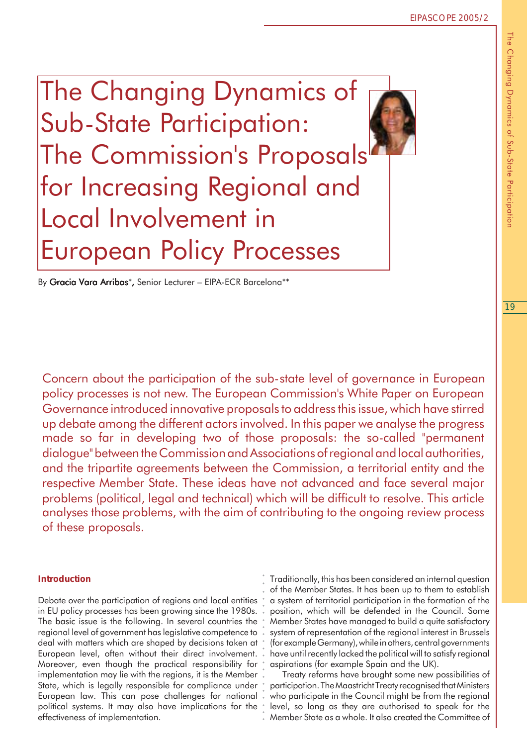The Changing Dynamics of Sub-State Participation: The Commission's Proposals for Increasing Regional and Local Involvement in European Policy Processes

By Gracia Vara Arribas\*, Senior Lecturer – EIPA-ECR Barcelona\*\*

Concern about the participation of the sub-state level of governance in European policy processes is not new. The European Commission's White Paper on European Governance introduced innovative proposals to address this issue, which have stirred up debate among the different actors involved. In this paper we analyse the progress made so far in developing two of those proposals: the so-called "permanent dialogue" between the Commission and Associations of regional and local authorities, and the tripartite agreements between the Commission, a territorial entity and the respective Member State. These ideas have not advanced and face several major problems (political, legal and technical) which will be difficult to resolve. This article analyses those problems, with the aim of contributing to the ongoing review process of these proposals.

○○○○○○○○○○○○○○○○○○○

## *Introduction*

Debate over the participation of regions and local entities in EU policy processes has been growing since the 1980s. The basic issue is the following. In several countries the regional level of government has legislative competence to deal with matters which are shaped by decisions taken at European level, often without their direct involvement. Moreover, even though the practical responsibility for implementation may lie with the regions, it is the Member State, which is legally responsible for compliance under European law. This can pose challenges for national political systems. It may also have implications for the effectiveness of implementation.

Traditionally, this has been considered an internal question of the Member States. It has been up to them to establish a system of territorial participation in the formation of the position, which will be defended in the Council. Some Member States have managed to build a quite satisfactory system of representation of the regional interest in Brussels (for example Germany), while in others, central governments have until recently lacked the political will to satisfy regional aspirations (for example Spain and the UK).

Treaty reforms have brought some new possibilities of participation. The Maastricht Treaty recognised that Ministers who participate in the Council might be from the regional level, so long as they are authorised to speak for the Member State as a whole. It also created the Committee of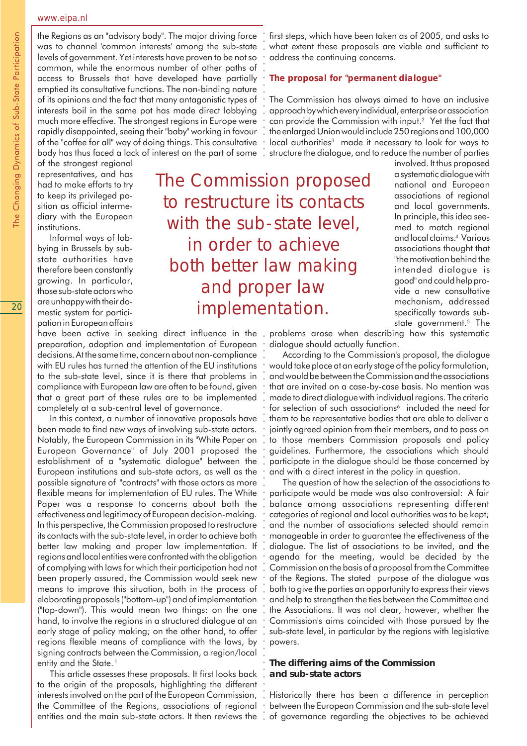#### www.eipa.nl

the Regions as an "advisory body". The major driving force was to channel 'common interests' among the sub-state levels of government. Yet interests have proven to be not so common, while the enormous number of other paths of access to Brussels that have developed have partially emptied its consultative functions. The non-binding nature of its opinions and the fact that many antagonistic types of interests boil in the same pot has made direct lobbying much more effective. The strongest regions in Europe were rapidly disappointed, seeing their "baby" working in favour of the "coffee for all" way of doing things. This consultative body has thus faced a lack of interest on the part of some

of the strongest regional representatives, and has had to make efforts to try to keep its privileged position as official intermediary with the European institutions.

Informal ways of lobbying in Brussels by substate authorities have therefore been constantly growing. In particular, those sub-state actors who are unhappy with their domestic system for participation in European affairs

# The Commission proposed to restructure its contacts with the sub-state level, in order to achieve both better law making and proper law implementation. ○○○○○○○○○○○○○○○○○○○○○○○○○○○○○○○○○○○○○○○○○○○○○○○○○○○○○○○ ○ ○ ○○○○○○○○○○○○○○○○

have been active in seeking direct influence in the problems arose when describing how this systematic preparation, adoption and implementation of European decisions. At the same time, concern about non-compliance with EU rules has turned the attention of the EU institutions to the sub-state level, since it is there that problems in compliance with European law are often to be found, given that a great part of these rules are to be implemented completely at a sub-central level of governance.

In this context, a number of innovative proposals have been made to find new ways of involving sub-state actors. Notably, the European Commission in its "White Paper on European Governance" of July 2001 proposed the establishment of a "systematic dialogue" between the European institutions and sub-state actors, as well as the possible signature of "contracts" with those actors as more flexible means for implementation of EU rules. The White Paper was a response to concerns about both the effectiveness and legitimacy of European decision-making. In this perspective, the Commission proposed to restructure its contacts with the sub-state level, in order to achieve both better law making and proper law implementation. If regions and local entities were confronted with the obligation of complying with laws for which their participation had not been properly assured, the Commission would seek new means to improve this situation, both in the process of elaborating proposals ("bottom-up") and of implementation ("top-down"). This would mean two things: on the one hand, to involve the regions in a structured dialogue at an early stage of policy making; on the other hand, to offer regions flexible means of compliance with the laws, by signing contracts between the Commission, a region/local entity and the State.<sup>1</sup>

This article assesses these proposals. It first looks back to the origin of the proposals, highlighting the different interests involved on the part of the European Commission, the Committee of the Regions, associations of regional entities and the main sub-state actors. It then reviews the first steps, which have been taken as of 2005, and asks to what extent these proposals are viable and sufficient to address the continuing concerns.

## *The proposal for "permanent dialogue"*

The Commission has always aimed to have an inclusive approach by which every individual, enterprise or association can provide the Commission with input.2 Yet the fact that the enlarged Union would include 250 regions and 100,000 local authorities<sup>3</sup> made it necessary to look for ways to structure the dialogue, and to reduce the number of parties

> involved. It thus proposed a systematic dialogue with national and European associations of regional and local governments. In principle, this idea seemed to match regional and local claims.4 Various associations thought that "the motivation behind the intended dialogue is good" and could help provide a new consultative mechanism, addressed specifically towards substate government.<sup>5</sup> The

dialogue should actually function.

According to the Commission's proposal, the dialogue would take place at an early stage of the policy formulation, and would be between the Commission and the associations that are invited on a case-by-case basis. No mention was made to direct dialogue with individual regions. The criteria for selection of such associations<sup>6</sup> included the need for them to be representative bodies that are able to deliver a jointly agreed opinion from their members, and to pass on to those members Commission proposals and policy guidelines. Furthermore, the associations which should participate in the dialogue should be those concerned by and with a direct interest in the policy in question.

The question of how the selection of the associations to participate would be made was also controversial: A fair balance among associations representing different categories of regional and local authorities was to be kept; and the number of associations selected should remain manageable in order to guarantee the effectiveness of the dialogue. The list of associations to be invited, and the agenda for the meeting, would be decided by the Commission on the basis of a proposal from the Committee of the Regions. The stated purpose of the dialogue was both to give the parties an opportunity to express their views and help to strengthen the ties between the Committee and the Associations. It was not clear, however, whether the Commission's aims coincided with those pursued by the sub-state level, in particular by the regions with legislative powers.

# **The differing aims of the Commission and sub-state actors**

Historically there has been a difference in perception between the European Commission and the sub-state level of governance regarding the objectives to be achieved

The Changing Dynamics of Sub-State Participation The Changing Dynamics of Sub-State Participation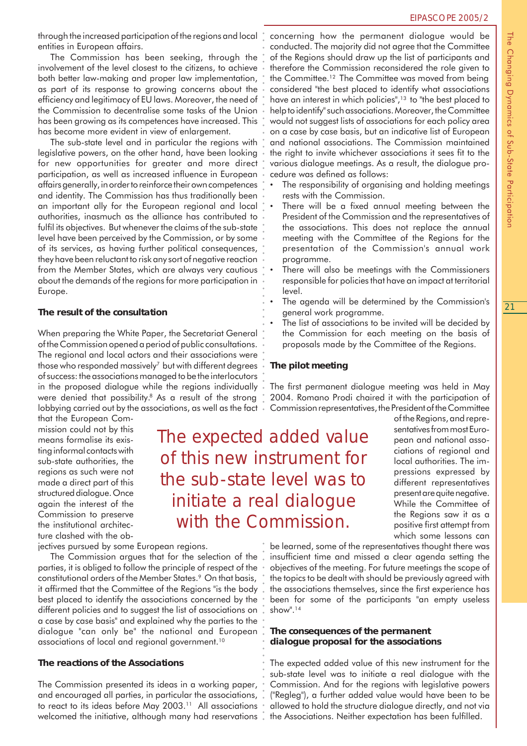through the increased participation of the regions and local entities in European affairs.

The Commission has been seeking, through the involvement of the level closest to the citizens, to achieve both better law-making and proper law implementation, as part of its response to growing concerns about the efficiency and legitimacy of EU laws. Moreover, the need of the Commission to decentralise some tasks of the Union has been growing as its competences have increased. This has become more evident in view of enlargement.

The sub-state level and in particular the regions with legislative powers, on the other hand, have been looking for new opportunities for greater and more direct participation, as well as increased influence in European affairs generally, in order to reinforce their own competences and identity. The Commission has thus traditionally been an important ally for the European regional and local authorities, inasmuch as the alliance has contributed to fulfil its objectives. But whenever the claims of the sub-state level have been perceived by the Commission, or by some of its services, as having further political consequences, they have been reluctant to risk any sort of negative reaction from the Member States, which are always very cautious about the demands of the regions for more participation in Europe.

# **The result of the consultation**

When preparing the White Paper, the Secretariat General of the Commission opened a period of public consultations. The regional and local actors and their associations were those who responded massively7 but with different degrees of success: the associations managed to be the interlocutors in the proposed dialogue while the regions individually were denied that possibility.8 As a result of the strong lobbying carried out by the associations, as well as the fact.

that the European Commission could not by this means formalise its existing informal contacts with sub-state authorities, the regions as such were not made a direct part of this structured dialogue. Once again the interest of the Commission to preserve the institutional architecture clashed with the ob-

jectives pursued by some European regions.

The Commission argues that for the selection of the parties, it is obliged to follow the principle of respect of the constitutional orders of the Member States.<sup>9</sup> On that basis, it affirmed that the Committee of the Regions "is the body best placed to identify the associations concerned by the different policies and to suggest the list of associations on a case by case basis" and explained why the parties to the dialogue "can only be" the national and European associations of local and regional government.<sup>10</sup>

## **The reactions of the Associations**

The Commission presented its ideas in a working paper, and encouraged all parties, in particular the associations, to react to its ideas before May 2003.<sup>11</sup> All associations welcomed the initiative, although many had reservations concerning how the permanent dialogue would be conducted. The majority did not agree that the Committee of the Regions should draw up the list of participants and therefore the Commission reconsidered the role given to the Committee.12 The Committee was moved from being considered "the best placed to identify what associations have an interest in which policies",<sup>13</sup> to "the best placed to help to identify" such associations. Moreover, the Committee would not suggest lists of associations for each policy area on a case by case basis, but an indicative list of European and national associations. The Commission maintained the right to invite whichever associations it sees fit to the various dialogue meetings. As a result, the dialogue procedure was defined as follows:

- The responsibility of organising and holding meetings rests with the Commission.
- There will be a fixed annual meeting between the President of the Commission and the representatives of the associations. This does not replace the annual meeting with the Committee of the Regions for the presentation of the Commission's annual work programme.
- There will also be meetings with the Commissioners responsible for policies that have an impact at territorial level.
- The agenda will be determined by the Commission's general work programme.
- The list of associations to be invited will be decided by the Commission for each meeting on the basis of proposals made by the Committee of the Regions.

# **The pilot meeting**

The first permanent dialogue meeting was held in May 2004. Romano Prodi chaired it with the participation of Commission representatives, the President of the Committee

> of the Regions, and representatives from most European and national associations of regional and local authorities. The impressions expressed by different representatives present are quite negative. While the Committee of the Regions saw it as a positive first attempt from which some lessons can

The expected added value of this new instrument for the sub-state level was to initiate a real dialogue with the Commission. ○○○○○○○○○○○○○○○○○○○ ○○○○○○○○○○○○○○○○○○○○○○○○○○○○○○○○○○○○○○○○○○○○○○○○○○○○○○

○○○○○○

be learned, some of the representatives thought there was insufficient time and missed a clear agenda setting the objectives of the meeting. For future meetings the scope of the topics to be dealt with should be previously agreed with the associations themselves, since the first experience has been for some of the participants "an empty useless show".14

## **The consequences of the permanent dialogue proposal for the associations**

The expected added value of this new instrument for the sub-state level was to initiate a real dialogue with the Commission. And for the regions with legislative powers ("Regleg"), a further added value would have been to be allowed to hold the structure dialogue directly, and not via the Associations. Neither expectation has been fulfilled.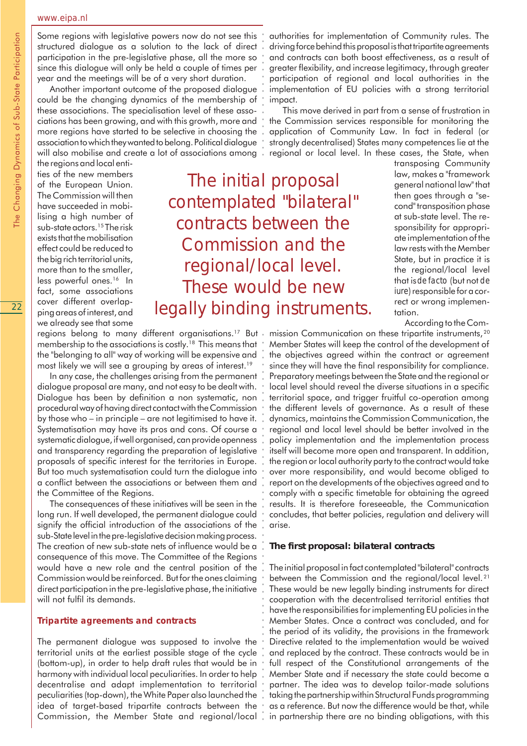#### www.eipa.nl

Some regions with legislative powers now do not see this structured dialogue as a solution to the lack of direct participation in the pre-legislative phase, all the more so since this dialogue will only be held a couple of times per year and the meetings will be of a very short duration.

Another important outcome of the proposed dialogue could be the changing dynamics of the membership of these associations. The specialisation level of these associations has been growing, and with this growth, more and more regions have started to be selective in choosing the association to which they wanted to belong. Political dialogue will also mobilise and create a lot of associations among

the regions and local entities of the new members of the European Union. The Commission will then have succeeded in mobilising a high number of sub-state actors.15 The risk exists that the mobilisation effect could be reduced to the big rich territorial units, more than to the smaller, less powerful ones.<sup>16</sup> In fact, some associations cover different overlapping areas of interest, and we already see that some

# The initial proposal contemplated "bilateral" contracts between the Commission and the regional/local level. These would be new legally binding instruments. ○○○○○○○○○○○○○○○○○○○○○○○○○○○○○○○○○○○○○○○○○○○○○○○○○○○○○ ○○○○○○○○○○○○○○○○○○

membership to the associations is costly.18 This means that the "belonging to all" way of working will be expensive and most likely we will see a grouping by areas of interest.<sup>19</sup>

In any case, the challenges arising from the permanent dialogue proposal are many, and not easy to be dealt with. Dialogue has been by definition a non systematic, non procedural way of having direct contact with the Commission by those who – in principle – are not legitimised to have it. Systematisation may have its pros and cons. Of course a systematic dialogue, if well organised, can provide openness and transparency regarding the preparation of legislative proposals of specific interest for the territories in Europe. But too much systematisation could turn the dialogue into a conflict between the associations or between them and the Committee of the Regions.

The consequences of these initiatives will be seen in the long run. If well developed, the permanent dialogue could signify the official introduction of the associations of the sub-State level in the pre-legislative decision making process. The creation of new sub-state nets of influence would be a consequence of this move. The Committee of the Regions would have a new role and the central position of the Commission would be reinforced. But for the ones claiming direct participation in the pre-legislative phase, the initiative will not fulfil its demands.

### *Tripartite agreements and contracts*

The permanent dialogue was supposed to involve the territorial units at the earliest possible stage of the cycle (bottom-up), in order to help draft rules that would be in harmony with individual local peculiarities. In order to help decentralise and adapt implementation to territorial peculiarities (top-down), the White Paper also launched the idea of target-based tripartite contracts between the Commission, the Member State and regional/local

authorities for implementation of Community rules. The driving force behind this proposal is that tripartite agreements and contracts can both boost effectiveness, as a result of greater flexibility, and increase legitimacy, through greater participation of regional and local authorities in the implementation of EU policies with a strong territorial impact.

This move derived in part from a sense of frustration in the Commission services responsible for monitoring the application of Community Law. In fact in federal (or strongly decentralised) States many competences lie at the regional or local level. In these cases, the State, when

transposing Community law, makes a "framework general national law" that then goes through a "second" transposition phase at sub-state level. The responsibility for appropriate implementation of the law rests with the Member State, but in practice it is the regional/local level that is *de facto* (but not *de iure*) responsible for a correct or wrong implementation.

According to the Com-

regions belong to many different organisations.<sup>17</sup> But mission Communication on these tripartite instruments,<sup>20</sup> Member States will keep the control of the development of the objectives agreed within the contract or agreement since they will have the final responsibility for compliance. Preparatory meetings between the State and the regional or local level should reveal the diverse situations in a specific territorial space, and trigger fruitful co-operation among the different levels of governance. As a result of these dynamics, maintains the Commission Communication, the regional and local level should be better involved in the policy implementation and the implementation process itself will become more open and transparent. In addition, the region or local authority party to the contract would take over more responsibility, and would become obliged to report on the developments of the objectives agreed and to comply with a specific timetable for obtaining the agreed results. It is therefore foreseeable, the Communication concludes, that better policies, regulation and delivery will arise.

## **The first proposal: bilateral contracts**

The initial proposal in fact contemplated "bilateral" contracts between the Commission and the regional/local level. <sup>21</sup> These would be new legally binding instruments for direct cooperation with the decentralised territorial entities that have the responsibilities for implementing EU policies in the Member States. Once a contract was concluded, and for the period of its validity, the provisions in the framework Directive related to the implementation would be waived and replaced by the contract. These contracts would be in full respect of the Constitutional arrangements of the Member State and if necessary the state could become a partner. The idea was to develop tailor-made solutions taking the partnership within Structural Funds programming as a reference. But now the difference would be that, while in partnership there are no binding obligations, with this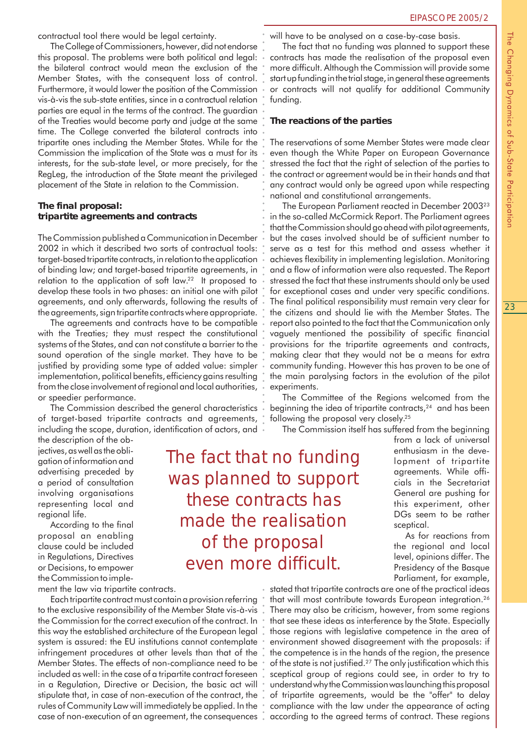contractual tool there would be legal certainty.

The College of Commissioners, however, did not endorse this proposal. The problems were both political and legal: the bilateral contract would mean the exclusion of the Member States, with the consequent loss of control. Furthermore, it would lower the position of the Commission vis-à-vis the sub-state entities, since in a contractual relation parties are equal in the terms of the contract. The guardian of the Treaties would become party and judge at the same time. The College converted the bilateral contracts into tripartite ones including the Member States. While for the Commission the implication of the State was a must for its interests, for the sub-state level, or more precisely, for the RegLeg, the introduction of the State meant the privileged placement of the State in relation to the Commission.

# **The final proposal: tripartite agreements and contracts**

The Commission published a Communication in December 2002 in which it described two sorts of contractual tools: target-based tripartite contracts, in relation to the application of binding law; and target-based tripartite agreements, in relation to the application of soft law.22 It proposed to develop these tools in two phases: an initial one with pilot agreements, and only afterwards, following the results of the agreements, sign tripartite contracts where appropriate.

The agreements and contracts have to be compatible with the Treaties; they must respect the constitutional systems of the States, and can not constitute a barrier to the sound operation of the single market. They have to be justified by providing some type of added value: simpler implementation, political benefits, efficiency gains resulting from the close involvement of regional and local authorities, or speedier performance.

The Commission described the general characteristics of target-based tripartite contracts and agreements, including the scope, duration, identification of actors, and

the description of the objectives, as well as the obligation of information and advertising preceded by a period of consultation involving organisations representing local and regional life.

According to the final proposal an enabling clause could be included in Regulations, Directives or Decisions, to empower the Commission to imple-

ment the law via tripartite contracts.

Each tripartite contract must contain a provision referring to the exclusive responsibility of the Member State vis-à-vis the Commission for the correct execution of the contract. In this way the established architecture of the European legal system is assured: the EU institutions cannot contemplate infringement procedures at other levels than that of the Member States. The effects of non-compliance need to be included as well: in the case of a tripartite contract foreseen in a Regulation, Directive or Decision, the basic act will stipulate that, in case of non-execution of the contract, the rules of Community Law will immediately be applied. In the case of non-execution of an agreement, the consequences

will have to be analysed on a case-by-case basis.

The fact that no funding was planned to support these contracts has made the realisation of the proposal even more difficult. Although the Commission will provide some start up funding in the trial stage, in general these agreements or contracts will not qualify for additional Community funding.

# **The reactions of the parties**

The reservations of some Member States were made clear even though the White Paper on European Governance stressed the fact that the right of selection of the parties to the contract or agreement would be in their hands and that any contract would only be agreed upon while respecting national and constitutional arrangements.

The European Parliament reacted in December 200323 in the so-called McCormick Report. The Parliament agrees that the Commission should go ahead with pilot agreements, but the cases involved should be of sufficient number to serve as a test for this method and assess whether it achieves flexibility in implementing legislation. Monitoring and a flow of information were also requested. The Report stressed the fact that these instruments should only be used for exceptional cases and under very specific conditions. The final political responsibility must remain very clear for the citizens and should lie with the Member States. The report also pointed to the fact that the Communication only vaguely mentioned the possibility of specific financial provisions for the tripartite agreements and contracts, making clear that they would not be a means for extra community funding. However this has proven to be one of the main paralysing factors in the evolution of the pilot experiments.

The Committee of the Regions welcomed from the beginning the idea of tripartite contracts,<sup>24</sup> and has been following the proposal very closely.<sup>25</sup>

The Commission itself has suffered from the beginning

from a lack of universal enthusiasm in the development of tripartite agreements. While officials in the Secretariat General are pushing for this experiment, other DGs seem to be rather sceptical.

As for reactions from the regional and local level, opinions differ. The Presidency of the Basque Parliament, for example,

stated that tripartite contracts are one of the practical ideas that will most contribute towards European integration.26 There may also be criticism, however, from some regions that see these ideas as interference by the State. Especially those regions with legislative competence in the area of environment showed disagreement with the proposals: if the competence is in the hands of the region, the presence of the state is not justified.27 The only justification which this sceptical group of regions could see, in order to try to understand why the Commission was launching this proposal of tripartite agreements, would be the "offer" to delay compliance with the law under the appearance of acting according to the agreed terms of contract. These regions

The fact that no funding was planned to support these contracts has made the realisation of the proposal even more difficult. ○○○○○○○○○○○○○○○○○ ○○○○○○○ ○○○○○○○○○○○○○○○○○○○○○○○○○○○○○○○○○○○○○○○○○○○○○○○○○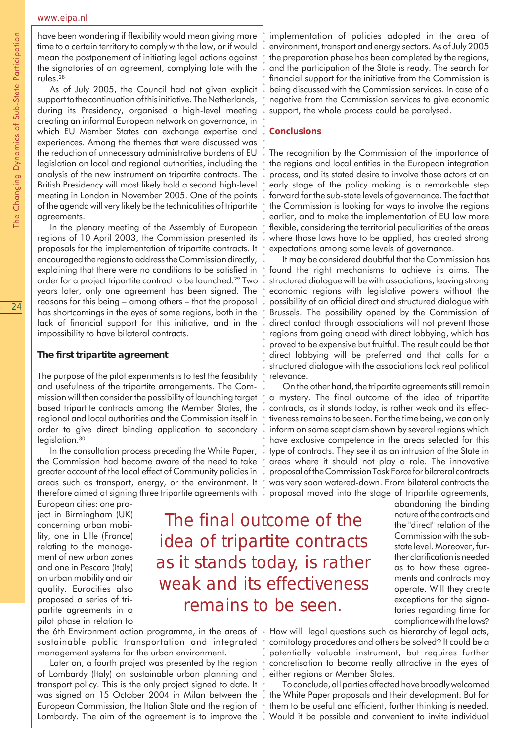have been wondering if flexibility would mean giving more time to a certain territory to comply with the law, or if would mean the postponement of initiating legal actions against the signatories of an agreement, complying late with the rules.28

As of July 2005, the Council had not given explicit support to the continuation of this initiative. The Netherlands, during its Presidency, organised a high-level meeting creating an informal European network on governance, in which EU Member States can exchange expertise and experiences. Among the themes that were discussed was the reduction of unnecessary administrative burdens of EU legislation on local and regional authorities, including the analysis of the new instrument on tripartite contracts. The British Presidency will most likely hold a second high-level meeting in London in November 2005. One of the points of the agenda will very likely be the technicalities of tripartite agreements.

In the plenary meeting of the Assembly of European regions of 10 April 2003, the Commission presented its proposals for the implementation of tripartite contracts. It encouraged the regions to address the Commission directly, explaining that there were no conditions to be satisfied in order for a project tripartite contract to be launched.29 Two years later, only one agreement has been signed. The reasons for this being – among others – that the proposal has shortcomings in the eyes of some regions, both in the lack of financial support for this initiative, and in the impossibility to have bilateral contracts.

# **The first tripartite agreement**

The purpose of the pilot experiments is to test the feasibility and usefulness of the tripartite arrangements. The Commission will then consider the possibility of launching target based tripartite contracts among the Member States, the regional and local authorities and the Commission itself in order to give direct binding application to secondary legislation.<sup>30</sup>

In the consultation process preceding the White Paper, the Commission had become aware of the need to take greater account of the local effect of Community policies in areas such as transport, energy, or the environment. It therefore aimed at signing three tripartite agreements with

European cities: one project in Birmingham (UK) concerning urban mobility, one in Lille (France) relating to the management of new urban zones and one in Pescara (Italy) on urban mobility and air quality. Eurocities also proposed a series of tripartite agreements in a pilot phase in relation to

The final outcome of the idea of tripartite contracts as it stands today, is rather weak and its effectiveness remains to be seen. ○○○○○○○○○○○ ○ ○○○○○○○○○○○○○○○○○○○○○○○○○○○○○○○○○○○○○○○○○○○○○○○○○○○○○○○○○○○○○○○○○

sustainable public transportation and integrated management systems for the urban environment.

Later on, a fourth project was presented by the region of Lombardy (Italy) on sustainable urban planning and transport policy. This is the only project signed to date. It was signed on 15 October 2004 in Milan between the European Commission, the Italian State and the region of Lombardy. The aim of the agreement is to improve the implementation of policies adopted in the area of environment, transport and energy sectors. As of July 2005 the preparation phase has been completed by the regions, and the participation of the State is ready. The search for financial support for the initiative from the Commission is being discussed with the Commission services. In case of a negative from the Commission services to give economic support, the whole process could be paralysed.

## *Conclusions*

The recognition by the Commission of the importance of the regions and local entities in the European integration process, and its stated desire to involve those actors at an early stage of the policy making is a remarkable step forward for the sub-state levels of governance. The fact that the Commission is looking for ways to involve the regions earlier, and to make the implementation of EU law more flexible, considering the territorial peculiarities of the areas where those laws have to be applied, has created strong expectations among some levels of governance.

It may be considered doubtful that the Commission has found the right mechanisms to achieve its aims. The structured dialogue will be with associations, leaving strong economic regions with legislative powers without the possibility of an official direct and structured dialogue with Brussels. The possibility opened by the Commission of direct contact through associations will not prevent those regions from going ahead with direct lobbying, which has proved to be expensive but fruitful. The result could be that direct lobbying will be preferred and that calls for a structured dialogue with the associations lack real political relevance.

On the other hand, the tripartite agreements still remain a mystery. The final outcome of the idea of tripartite contracts, as it stands today, is rather weak and its effectiveness remains to be seen. For the time being, we can only inform on some scepticism shown by several regions which have exclusive competence in the areas selected for this type of contracts. They see it as an intrusion of the State in areas where it should not play a role. The innovative proposal of the Commission Task Force for bilateral contracts was very soon watered-down. From bilateral contracts the proposal moved into the stage of tripartite agreements,

> abandoning the binding nature of the contracts and the "direct" relation of the Commission with the substate level. Moreover, further clarification is needed as to how these agreements and contracts may operate. Will they create exceptions for the signatories regarding time for compliance with the laws?

the 6th Environment action programme, in the areas of • How will legal questions such as hierarchy of legal acts, comitology procedures and others be solved? It could be a potentially valuable instrument, but requires further concretisation to become really attractive in the eyes of either regions or Member States.

> To conclude, all parties affected have broadly welcomed the White Paper proposals and their development. But for them to be useful and efficient, further thinking is needed. Would it be possible and convenient to invite individual

The Changing Dynamics of Sub-State Participation The Changing Dynamics of Sub-State Participation